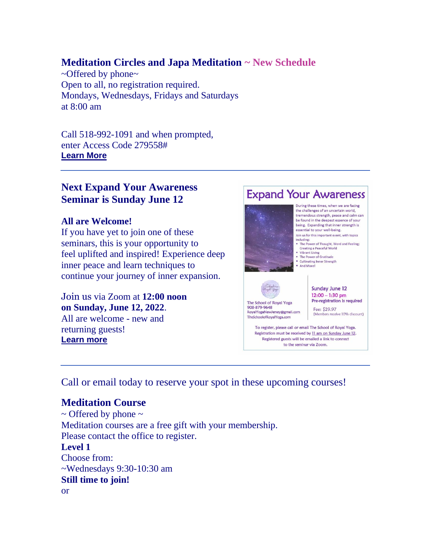# **Meditation Circles and Japa Meditation ~ New Schedule**

~Offered by phone~ Open to all, no registration required. Mondays, Wednesdays, Fridays and Saturdays at 8:00 am

Call 518-992-1091 and when prompted, enter Access Code 279558# **[Learn More](https://r20.rs6.net/tn.jsp?f=001gkUYAMTyCjPyWf5MQqHvPrDTVRb5oKpyfk80_6IcIfGYkebyCXkmM6YSPaQN5c2B-XCxNpf2F6Qy2k3MnbV8SIeq6USSe_mPTkxwg7lvG3f9VVqOkmNs_4R5Cqswzgj8YTFeLjl9dmyEdEa5khynJ1TBypXDAeh4R_CSZWMgNlgiqv8_Bjc2b1k3TgP30Kn-lrPZ_UoUES-Ij_bs_C2g2R5NVQ_yPVga2VJM4_dqGy8=&c=jWWyGcC-vQHlqx6yxeR6bTJH-BGITnWPkEaf7IuwmE-Gszi17m8dRg==&ch=ZEa16c8nMZAg0o-OsaYGyJMyjuXRoMAiSQBcwnZqCOdZ5NNIxCAscA==)**

# **Next Expand Your Awareness Seminar is Sunday June 12**

## **All are Welcome!**

If you have yet to join one of these seminars, this is your opportunity to feel uplifted and inspired! Experience deep inner peace and learn techniques to continue your journey of inner expansion.

Join us via Zoom at **12:00 noon on Sunday, June 12, 2022**. All are welcome - new and returning guests! **[Learn more](https://r20.rs6.net/tn.jsp?f=001gkUYAMTyCjPyWf5MQqHvPrDTVRb5oKpyfk80_6IcIfGYkebyCXkmM6YSPaQN5c2Bll2Znmkqw8eFSBinxdSd9aSq3Nmg4R_3fZGgDDvxgY40VCWXB8lCjtO2MZCEDD13CQfoJZO17bV7I6S6aDYDyBa0U1gdWD0zTetgodeMCVl65L60aH2yCw1Oq8Rc-04o_sZ7SsmGlmOpgnNMylRydR6_3j59YJyrel16IMrtBy0=&c=jWWyGcC-vQHlqx6yxeR6bTJH-BGITnWPkEaf7IuwmE-Gszi17m8dRg==&ch=ZEa16c8nMZAg0o-OsaYGyJMyjuXRoMAiSQBcwnZqCOdZ5NNIxCAscA==)**



 $12:00 - 1:30$  pm Pre-registration is required

(Members receive 10% discount)

To register, please call or email The School of Royal Yoga. Registration must be received by 11 am on Sunday June 12. Registered guests will be emailed a link to connect to the seminar via Zoom.

Call or email today to reserve your spot in these upcoming courses!

# **Meditation Course**

 $\sim$  Offered by phone  $\sim$ Meditation courses are a free gift with your membership. Please contact the office to register. **Level 1** Choose from: ~Wednesdays 9:30-10:30 am **Still time to join!** or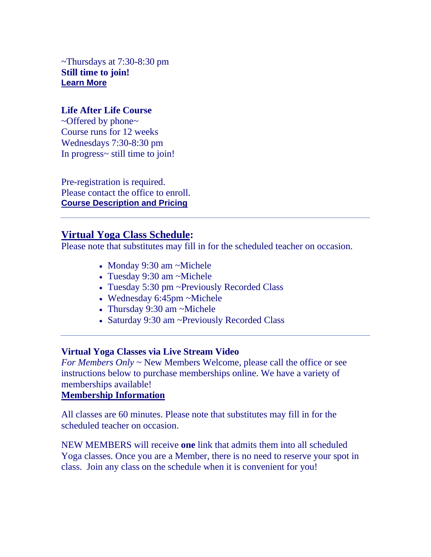$\sim$ Thursdays at 7:30-8:30 pm **Still time to join! [Learn More](https://r20.rs6.net/tn.jsp?f=001gkUYAMTyCjPyWf5MQqHvPrDTVRb5oKpyfk80_6IcIfGYkebyCXkmM83SUeHHqZZaBeeDbMrE61Z-wIUQO2vnWleU6ELyLZ0D6P6x7eAHQvaCaWiwHUjd0J5CqVMLqQP_reQiKCLxD8wSr7U8pg5FOW55A96Zfmvrjc7nv2JUyJJTjDYUv4C279QMf7pnfYrGqE_92zGAyAPrPK-DaFjDsiRfTxGXGk9yFxBiLCkRsIo=&c=jWWyGcC-vQHlqx6yxeR6bTJH-BGITnWPkEaf7IuwmE-Gszi17m8dRg==&ch=ZEa16c8nMZAg0o-OsaYGyJMyjuXRoMAiSQBcwnZqCOdZ5NNIxCAscA==)**

## **Life After Life Course**

~Offered by phone~ Course runs for 12 weeks Wednesdays 7:30-8:30 pm In progress~ still time to join!

Pre-registration is required. Please contact the office to enroll. **[Course Description and Pricing](https://r20.rs6.net/tn.jsp?f=001gkUYAMTyCjPyWf5MQqHvPrDTVRb5oKpyfk80_6IcIfGYkebyCXkmM-bqu5cKciv0xY-4bPkwGSiuRlse22oy2kdkYBvjPHqA1hVkfZjy9XDUhsesYmvaSRlPzG-ZoWkydAyCTy_0eSR8YeY0WcOYW_y9nf4x6mSO9-J8epZ2FH-mTDGYevNccDV1dpgmAl8B9T4Ttfh4herNonEf4b6F2-mo50mSnL5rVJ3CvQJ196E=&c=jWWyGcC-vQHlqx6yxeR6bTJH-BGITnWPkEaf7IuwmE-Gszi17m8dRg==&ch=ZEa16c8nMZAg0o-OsaYGyJMyjuXRoMAiSQBcwnZqCOdZ5NNIxCAscA==)**

# **Virtual Yoga Class Schedule:**

Please note that substitutes may fill in for the scheduled teacher on occasion.

- Monday 9:30 am ~Michele
- Tuesday 9:30 am ~Michele
- Tuesday 5:30 pm ~Previously Recorded Class
- Wednesday 6:45pm ~Michele
- Thursday 9:30 am ~Michele
- Saturday 9:30 am ~Previously Recorded Class

## **Virtual Yoga Classes via Live Stream Video**

*For Members Only* ~ New Members Welcome, please call the office or see instructions below to purchase memberships online. We have a variety of memberships available!

## **[Membership Information](https://r20.rs6.net/tn.jsp?f=001gkUYAMTyCjPyWf5MQqHvPrDTVRb5oKpyfk80_6IcIfGYkebyCXkmM7V79NEeobh3IVYCKyiBotY16eu1lYYpQThOm-J-rtEOmP4ZG1MZ734UXS5RbrsXyviJtZC39CxfrkI3uODUMqA-A9JsO6p4qTos88TLeOYOLbhRKUDTMVg8q-X3oJzG51naDDA01BEd3rQTzrebyUHk12iy0rSGumStUSYLjm4WNQg3HM4u-PA=&c=jWWyGcC-vQHlqx6yxeR6bTJH-BGITnWPkEaf7IuwmE-Gszi17m8dRg==&ch=ZEa16c8nMZAg0o-OsaYGyJMyjuXRoMAiSQBcwnZqCOdZ5NNIxCAscA==)**

All classes are 60 minutes. Please note that substitutes may fill in for the scheduled teacher on occasion.

NEW MEMBERS will receive **one** link that admits them into all scheduled Yoga classes. Once you are a Member, there is no need to reserve your spot in class. Join any class on the schedule when it is convenient for you!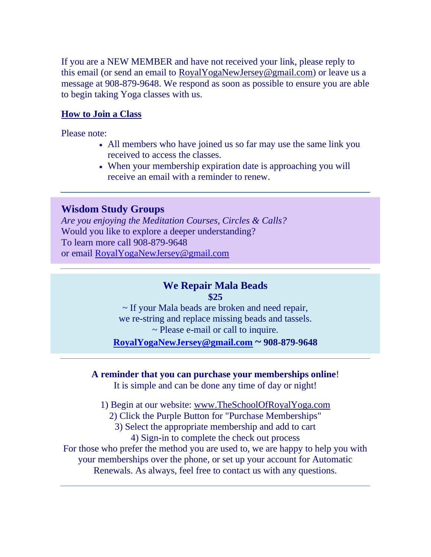If you are a NEW MEMBER and have not received your link, please reply to this email (or send an email to [RoyalYogaNewJersey@gmail.com\)](mailto:RoyalYogaNewJersey@gmail.com) or leave us a message at 908-879-9648. We respond as soon as possible to ensure you are able to begin taking Yoga classes with us.

# **[How to Join a Class](https://r20.rs6.net/tn.jsp?f=001gkUYAMTyCjPyWf5MQqHvPrDTVRb5oKpyfk80_6IcIfGYkebyCXkmM0_lAhYhlToG28qL7dj4i1rSYRrVsPxshXTsooosNT3zRtOEurB8K1QigubGjooI5BBkuRDxbUBD8xmvxnAJgPrCYZEf_oqhKzRu8Gv3iSYCwr1OYgOSd1uHoJc5QnUn-VOpGMIHqnSSKXeDD8BxDzdxjOtcdga358tPp-DlbD5CkU2fv3FqfxA=&c=jWWyGcC-vQHlqx6yxeR6bTJH-BGITnWPkEaf7IuwmE-Gszi17m8dRg==&ch=ZEa16c8nMZAg0o-OsaYGyJMyjuXRoMAiSQBcwnZqCOdZ5NNIxCAscA==)**

Please note:

- All members who have joined us so far may use the same link you received to access the classes.
- When your membership expiration date is approaching you will receive an email with a reminder to renew.

# **Wisdom Study Groups**

*Are you enjoying the Meditation Courses, Circles & Calls?* Would you like to explore a deeper understanding? To learn more call 908-879-9648 or email [RoyalYogaNewJersey@gmail.com](mailto:RoyalYogaNewJersey@gmail.com)

# **We Repair Mala Beads \$25**

~ If your Mala beads are broken and need repair, we re-string and replace missing beads and tassels. ~ Please e-mail or call to inquire. **[RoyalYogaNewJersey@gmail.com](mailto:RoyalYogaNewJersey@gmail.com) ~ 908-879-9648** 

## **A reminder that you can purchase your memberships online**!

It is simple and can be done any time of day or night!

1) Begin at our website: [www.TheSchoolOfRoyalYoga.com](https://r20.rs6.net/tn.jsp?f=001gkUYAMTyCjPyWf5MQqHvPrDTVRb5oKpyfk80_6IcIfGYkebyCXkmM76o_A8SkJq4wqv2EprzWz4HASLPSDssW1bIMIMSAbIwuiUt9_7lq_Zn9t_oRAvnj4bVVYPthqJddbQudYSsxOCg_vOGpWz76Vrpe54p6lWH&c=jWWyGcC-vQHlqx6yxeR6bTJH-BGITnWPkEaf7IuwmE-Gszi17m8dRg==&ch=ZEa16c8nMZAg0o-OsaYGyJMyjuXRoMAiSQBcwnZqCOdZ5NNIxCAscA==)

2) Click the Purple Button for "Purchase Memberships"

3) Select the appropriate membership and add to cart

4) Sign-in to complete the check out process

For those who prefer the method you are used to, we are happy to help you with your memberships over the phone, or set up your account for Automatic Renewals. As always, feel free to contact us with any questions.